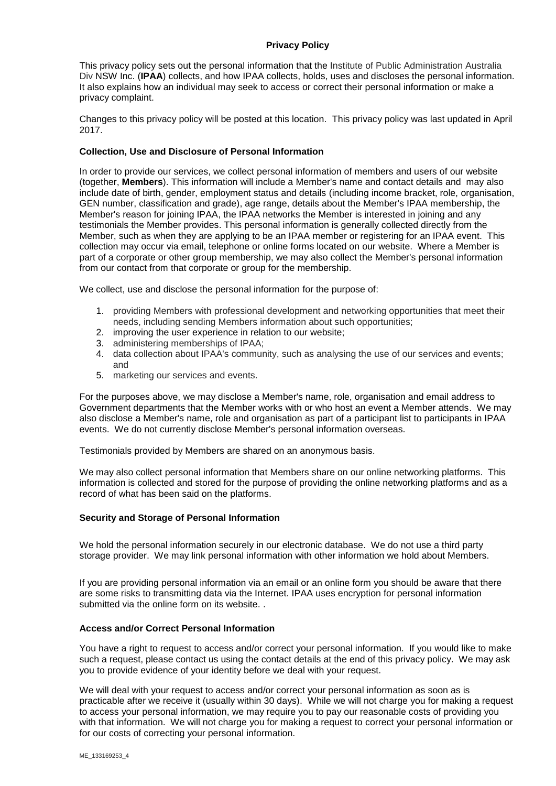# **Privacy Policy**

This privacy policy sets out the personal information that the Institute of Public Administration Australia Div NSW Inc. (**IPAA**) collects, and how IPAA collects, holds, uses and discloses the personal information. It also explains how an individual may seek to access or correct their personal information or make a privacy complaint.

Changes to this privacy policy will be posted at this location. This privacy policy was last updated in April 2017.

## **Collection, Use and Disclosure of Personal Information**

In order to provide our services, we collect personal information of members and users of our website (together, **Members**). This information will include a Member's name and contact details and may also include date of birth, gender, employment status and details (including income bracket, role, organisation, GEN number, classification and grade), age range, details about the Member's IPAA membership, the Member's reason for joining IPAA, the IPAA networks the Member is interested in joining and any testimonials the Member provides. This personal information is generally collected directly from the Member, such as when they are applying to be an IPAA member or registering for an IPAA event. This collection may occur via email, telephone or online forms located on our website. Where a Member is part of a corporate or other group membership, we may also collect the Member's personal information from our contact from that corporate or group for the membership.

We collect, use and disclose the personal information for the purpose of:

- 1. providing Members with professional development and networking opportunities that meet their needs, including sending Members information about such opportunities;
- 2. improving the user experience in relation to our website;
- 3. administering memberships of IPAA;
- 4. data collection about IPAA's community, such as analysing the use of our services and events; and
- 5. marketing our services and events.

For the purposes above, we may disclose a Member's name, role, organisation and email address to Government departments that the Member works with or who host an event a Member attends. We may also disclose a Member's name, role and organisation as part of a participant list to participants in IPAA events. We do not currently disclose Member's personal information overseas.

Testimonials provided by Members are shared on an anonymous basis.

We may also collect personal information that Members share on our online networking platforms. This information is collected and stored for the purpose of providing the online networking platforms and as a record of what has been said on the platforms.

# **Security and Storage of Personal Information**

We hold the personal information securely in our electronic database. We do not use a third party storage provider. We may link personal information with other information we hold about Members.

If you are providing personal information via an email or an online form you should be aware that there are some risks to transmitting data via the Internet. IPAA uses encryption for personal information submitted via the online form on its website.

#### **Access and/or Correct Personal Information**

You have a right to request to access and/or correct your personal information. If you would like to make such a request, please contact us using the contact details at the end of this privacy policy. We may ask you to provide evidence of your identity before we deal with your request.

We will deal with your request to access and/or correct your personal information as soon as is practicable after we receive it (usually within 30 days). While we will not charge you for making a request to access your personal information, we may require you to pay our reasonable costs of providing you with that information. We will not charge you for making a request to correct your personal information or for our costs of correcting your personal information.